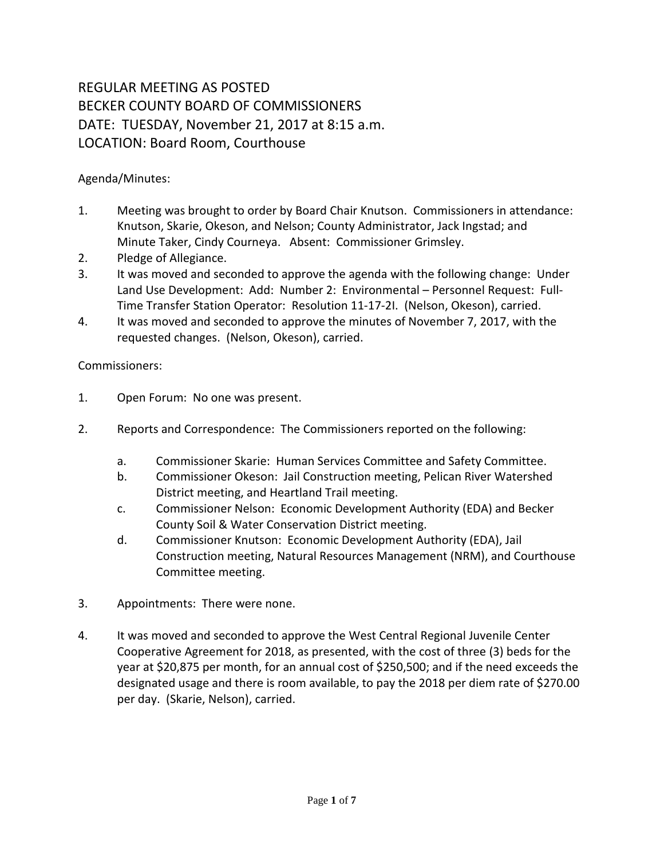## REGULAR MEETING AS POSTED BECKER COUNTY BOARD OF COMMISSIONERS DATE: TUESDAY, November 21, 2017 at 8:15 a.m. LOCATION: Board Room, Courthouse

Agenda/Minutes:

- 1. Meeting was brought to order by Board Chair Knutson. Commissioners in attendance: Knutson, Skarie, Okeson, and Nelson; County Administrator, Jack Ingstad; and Minute Taker, Cindy Courneya. Absent: Commissioner Grimsley.
- 2. Pledge of Allegiance.
- 3. It was moved and seconded to approve the agenda with the following change: Under Land Use Development: Add: Number 2: Environmental – Personnel Request: Full-Time Transfer Station Operator: Resolution 11-17-2I. (Nelson, Okeson), carried.
- 4. It was moved and seconded to approve the minutes of November 7, 2017, with the requested changes. (Nelson, Okeson), carried.

Commissioners:

- 1. Open Forum: No one was present.
- 2. Reports and Correspondence: The Commissioners reported on the following:
	- a. Commissioner Skarie: Human Services Committee and Safety Committee.
	- b. Commissioner Okeson: Jail Construction meeting, Pelican River Watershed District meeting, and Heartland Trail meeting.
	- c. Commissioner Nelson: Economic Development Authority (EDA) and Becker County Soil & Water Conservation District meeting.
	- d. Commissioner Knutson: Economic Development Authority (EDA), Jail Construction meeting, Natural Resources Management (NRM), and Courthouse Committee meeting.
- 3. Appointments: There were none.
- 4. It was moved and seconded to approve the West Central Regional Juvenile Center Cooperative Agreement for 2018, as presented, with the cost of three (3) beds for the year at \$20,875 per month, for an annual cost of \$250,500; and if the need exceeds the designated usage and there is room available, to pay the 2018 per diem rate of \$270.00 per day. (Skarie, Nelson), carried.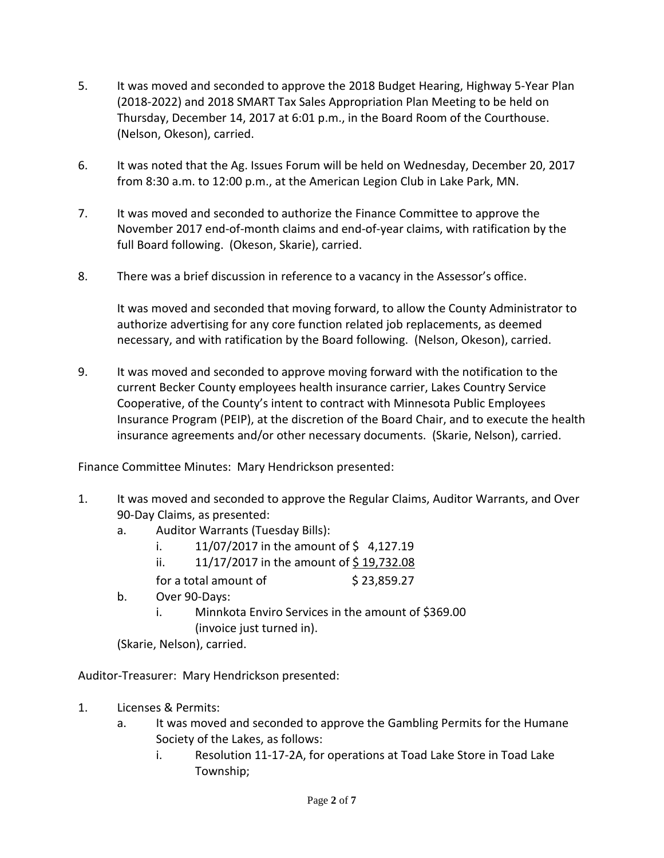- 5. It was moved and seconded to approve the 2018 Budget Hearing, Highway 5-Year Plan (2018-2022) and 2018 SMART Tax Sales Appropriation Plan Meeting to be held on Thursday, December 14, 2017 at 6:01 p.m., in the Board Room of the Courthouse. (Nelson, Okeson), carried.
- 6. It was noted that the Ag. Issues Forum will be held on Wednesday, December 20, 2017 from 8:30 a.m. to 12:00 p.m., at the American Legion Club in Lake Park, MN.
- 7. It was moved and seconded to authorize the Finance Committee to approve the November 2017 end-of-month claims and end-of-year claims, with ratification by the full Board following. (Okeson, Skarie), carried.
- 8. There was a brief discussion in reference to a vacancy in the Assessor's office.

It was moved and seconded that moving forward, to allow the County Administrator to authorize advertising for any core function related job replacements, as deemed necessary, and with ratification by the Board following. (Nelson, Okeson), carried.

9. It was moved and seconded to approve moving forward with the notification to the current Becker County employees health insurance carrier, Lakes Country Service Cooperative, of the County's intent to contract with Minnesota Public Employees Insurance Program (PEIP), at the discretion of the Board Chair, and to execute the health insurance agreements and/or other necessary documents. (Skarie, Nelson), carried.

Finance Committee Minutes: Mary Hendrickson presented:

- 1. It was moved and seconded to approve the Regular Claims, Auditor Warrants, and Over 90-Day Claims, as presented:
	- a. Auditor Warrants (Tuesday Bills):
		- i.  $11/07/2017$  in the amount of \$4,127.19
		- ii.  $11/17/2017$  in the amount of \$19,732.08
		- for a total amount of  $\frac{1}{2}$  \$ 23,859.27
	- b. Over 90-Days:
		- i. Minnkota Enviro Services in the amount of \$369.00 (invoice just turned in).

(Skarie, Nelson), carried.

Auditor-Treasurer: Mary Hendrickson presented:

- 1. Licenses & Permits:
	- a. It was moved and seconded to approve the Gambling Permits for the Humane Society of the Lakes, as follows:
		- i. Resolution 11-17-2A, for operations at Toad Lake Store in Toad Lake Township;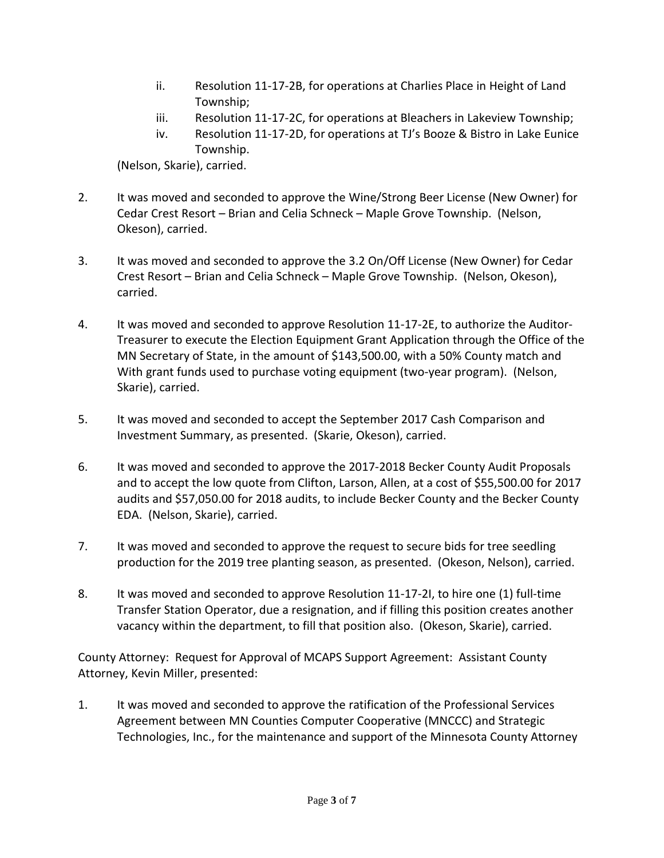- ii. Resolution 11-17-2B, for operations at Charlies Place in Height of Land Township;
- iii. Resolution 11-17-2C, for operations at Bleachers in Lakeview Township;
- iv. Resolution 11-17-2D, for operations at TJ's Booze & Bistro in Lake Eunice Township.

(Nelson, Skarie), carried.

- 2. It was moved and seconded to approve the Wine/Strong Beer License (New Owner) for Cedar Crest Resort – Brian and Celia Schneck – Maple Grove Township. (Nelson, Okeson), carried.
- 3. It was moved and seconded to approve the 3.2 On/Off License (New Owner) for Cedar Crest Resort – Brian and Celia Schneck – Maple Grove Township. (Nelson, Okeson), carried.
- 4. It was moved and seconded to approve Resolution 11-17-2E, to authorize the Auditor-Treasurer to execute the Election Equipment Grant Application through the Office of the MN Secretary of State, in the amount of \$143,500.00, with a 50% County match and With grant funds used to purchase voting equipment (two-year program). (Nelson, Skarie), carried.
- 5. It was moved and seconded to accept the September 2017 Cash Comparison and Investment Summary, as presented. (Skarie, Okeson), carried.
- 6. It was moved and seconded to approve the 2017-2018 Becker County Audit Proposals and to accept the low quote from Clifton, Larson, Allen, at a cost of \$55,500.00 for 2017 audits and \$57,050.00 for 2018 audits, to include Becker County and the Becker County EDA. (Nelson, Skarie), carried.
- 7. It was moved and seconded to approve the request to secure bids for tree seedling production for the 2019 tree planting season, as presented. (Okeson, Nelson), carried.
- 8. It was moved and seconded to approve Resolution 11-17-2I, to hire one (1) full-time Transfer Station Operator, due a resignation, and if filling this position creates another vacancy within the department, to fill that position also. (Okeson, Skarie), carried.

County Attorney: Request for Approval of MCAPS Support Agreement: Assistant County Attorney, Kevin Miller, presented:

1. It was moved and seconded to approve the ratification of the Professional Services Agreement between MN Counties Computer Cooperative (MNCCC) and Strategic Technologies, Inc., for the maintenance and support of the Minnesota County Attorney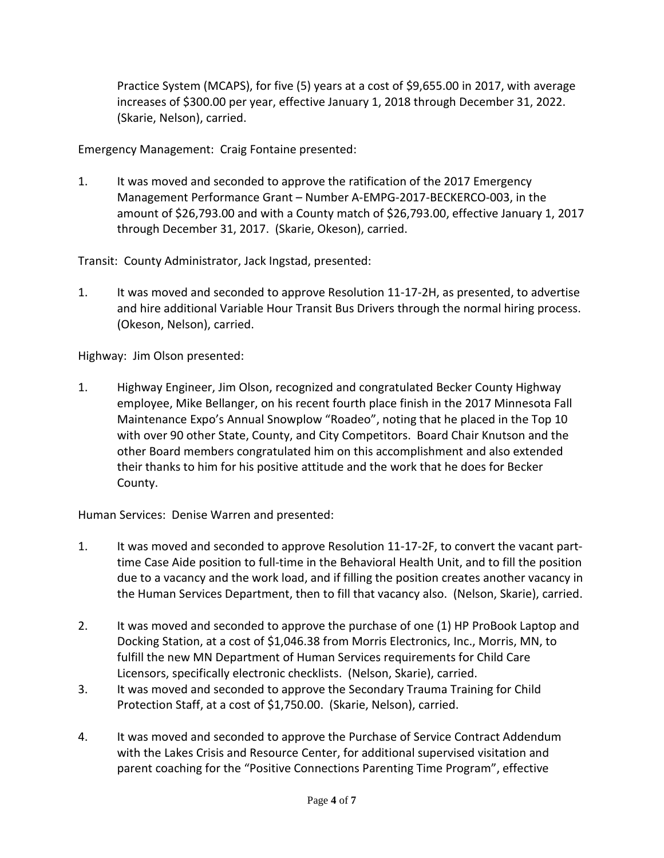Practice System (MCAPS), for five (5) years at a cost of \$9,655.00 in 2017, with average increases of \$300.00 per year, effective January 1, 2018 through December 31, 2022. (Skarie, Nelson), carried.

Emergency Management: Craig Fontaine presented:

1. It was moved and seconded to approve the ratification of the 2017 Emergency Management Performance Grant – Number A-EMPG-2017-BECKERCO-003, in the amount of \$26,793.00 and with a County match of \$26,793.00, effective January 1, 2017 through December 31, 2017. (Skarie, Okeson), carried.

Transit: County Administrator, Jack Ingstad, presented:

1. It was moved and seconded to approve Resolution 11-17-2H, as presented, to advertise and hire additional Variable Hour Transit Bus Drivers through the normal hiring process. (Okeson, Nelson), carried.

Highway: Jim Olson presented:

1. Highway Engineer, Jim Olson, recognized and congratulated Becker County Highway employee, Mike Bellanger, on his recent fourth place finish in the 2017 Minnesota Fall Maintenance Expo's Annual Snowplow "Roadeo", noting that he placed in the Top 10 with over 90 other State, County, and City Competitors. Board Chair Knutson and the other Board members congratulated him on this accomplishment and also extended their thanks to him for his positive attitude and the work that he does for Becker County.

Human Services: Denise Warren and presented:

- 1. It was moved and seconded to approve Resolution 11-17-2F, to convert the vacant parttime Case Aide position to full-time in the Behavioral Health Unit, and to fill the position due to a vacancy and the work load, and if filling the position creates another vacancy in the Human Services Department, then to fill that vacancy also. (Nelson, Skarie), carried.
- 2. It was moved and seconded to approve the purchase of one (1) HP ProBook Laptop and Docking Station, at a cost of \$1,046.38 from Morris Electronics, Inc., Morris, MN, to fulfill the new MN Department of Human Services requirements for Child Care Licensors, specifically electronic checklists. (Nelson, Skarie), carried.
- 3. It was moved and seconded to approve the Secondary Trauma Training for Child Protection Staff, at a cost of \$1,750.00. (Skarie, Nelson), carried.
- 4. It was moved and seconded to approve the Purchase of Service Contract Addendum with the Lakes Crisis and Resource Center, for additional supervised visitation and parent coaching for the "Positive Connections Parenting Time Program", effective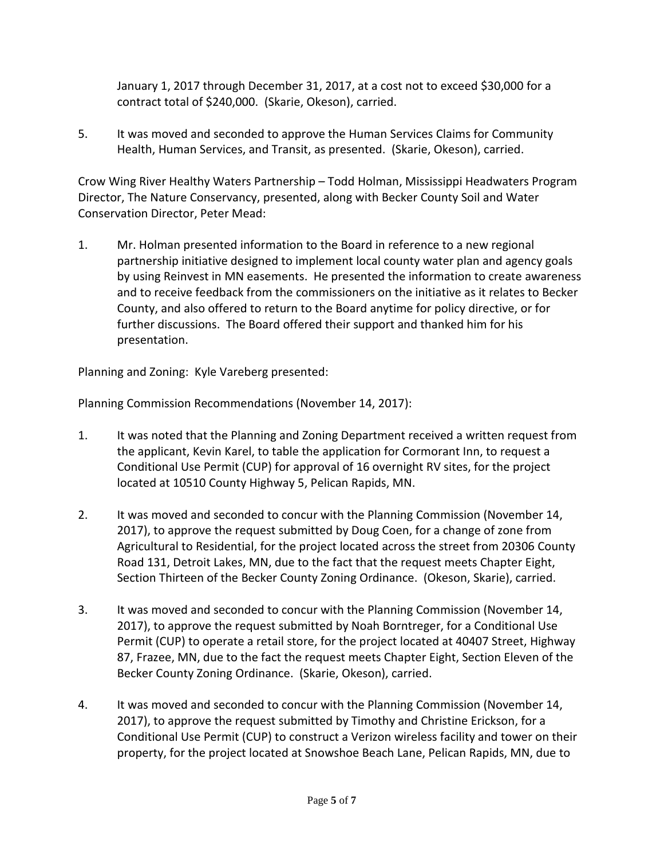January 1, 2017 through December 31, 2017, at a cost not to exceed \$30,000 for a contract total of \$240,000. (Skarie, Okeson), carried.

5. It was moved and seconded to approve the Human Services Claims for Community Health, Human Services, and Transit, as presented. (Skarie, Okeson), carried.

Crow Wing River Healthy Waters Partnership – Todd Holman, Mississippi Headwaters Program Director, The Nature Conservancy, presented, along with Becker County Soil and Water Conservation Director, Peter Mead:

1. Mr. Holman presented information to the Board in reference to a new regional partnership initiative designed to implement local county water plan and agency goals by using Reinvest in MN easements. He presented the information to create awareness and to receive feedback from the commissioners on the initiative as it relates to Becker County, and also offered to return to the Board anytime for policy directive, or for further discussions. The Board offered their support and thanked him for his presentation.

Planning and Zoning: Kyle Vareberg presented:

Planning Commission Recommendations (November 14, 2017):

- 1. It was noted that the Planning and Zoning Department received a written request from the applicant, Kevin Karel, to table the application for Cormorant Inn, to request a Conditional Use Permit (CUP) for approval of 16 overnight RV sites, for the project located at 10510 County Highway 5, Pelican Rapids, MN.
- 2. It was moved and seconded to concur with the Planning Commission (November 14, 2017), to approve the request submitted by Doug Coen, for a change of zone from Agricultural to Residential, for the project located across the street from 20306 County Road 131, Detroit Lakes, MN, due to the fact that the request meets Chapter Eight, Section Thirteen of the Becker County Zoning Ordinance. (Okeson, Skarie), carried.
- 3. It was moved and seconded to concur with the Planning Commission (November 14, 2017), to approve the request submitted by Noah Borntreger, for a Conditional Use Permit (CUP) to operate a retail store, for the project located at 40407 Street, Highway 87, Frazee, MN, due to the fact the request meets Chapter Eight, Section Eleven of the Becker County Zoning Ordinance. (Skarie, Okeson), carried.
- 4. It was moved and seconded to concur with the Planning Commission (November 14, 2017), to approve the request submitted by Timothy and Christine Erickson, for a Conditional Use Permit (CUP) to construct a Verizon wireless facility and tower on their property, for the project located at Snowshoe Beach Lane, Pelican Rapids, MN, due to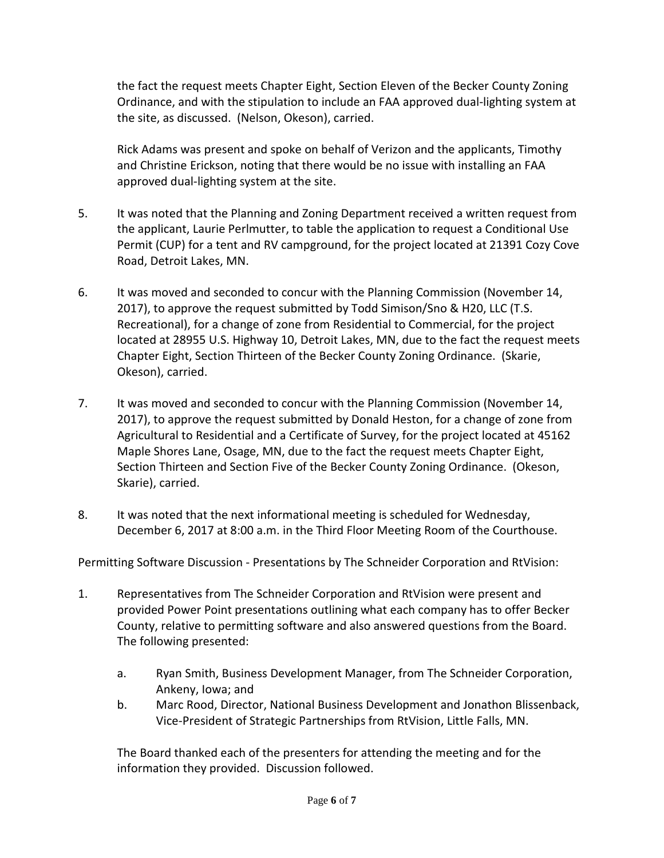the fact the request meets Chapter Eight, Section Eleven of the Becker County Zoning Ordinance, and with the stipulation to include an FAA approved dual-lighting system at the site, as discussed. (Nelson, Okeson), carried.

Rick Adams was present and spoke on behalf of Verizon and the applicants, Timothy and Christine Erickson, noting that there would be no issue with installing an FAA approved dual-lighting system at the site.

- 5. It was noted that the Planning and Zoning Department received a written request from the applicant, Laurie Perlmutter, to table the application to request a Conditional Use Permit (CUP) for a tent and RV campground, for the project located at 21391 Cozy Cove Road, Detroit Lakes, MN.
- 6. It was moved and seconded to concur with the Planning Commission (November 14, 2017), to approve the request submitted by Todd Simison/Sno & H20, LLC (T.S. Recreational), for a change of zone from Residential to Commercial, for the project located at 28955 U.S. Highway 10, Detroit Lakes, MN, due to the fact the request meets Chapter Eight, Section Thirteen of the Becker County Zoning Ordinance. (Skarie, Okeson), carried.
- 7. It was moved and seconded to concur with the Planning Commission (November 14, 2017), to approve the request submitted by Donald Heston, for a change of zone from Agricultural to Residential and a Certificate of Survey, for the project located at 45162 Maple Shores Lane, Osage, MN, due to the fact the request meets Chapter Eight, Section Thirteen and Section Five of the Becker County Zoning Ordinance. (Okeson, Skarie), carried.
- 8. It was noted that the next informational meeting is scheduled for Wednesday, December 6, 2017 at 8:00 a.m. in the Third Floor Meeting Room of the Courthouse.

Permitting Software Discussion - Presentations by The Schneider Corporation and RtVision:

- 1. Representatives from The Schneider Corporation and RtVision were present and provided Power Point presentations outlining what each company has to offer Becker County, relative to permitting software and also answered questions from the Board. The following presented:
	- a. Ryan Smith, Business Development Manager, from The Schneider Corporation, Ankeny, Iowa; and
	- b. Marc Rood, Director, National Business Development and Jonathon Blissenback, Vice-President of Strategic Partnerships from RtVision, Little Falls, MN.

The Board thanked each of the presenters for attending the meeting and for the information they provided. Discussion followed.